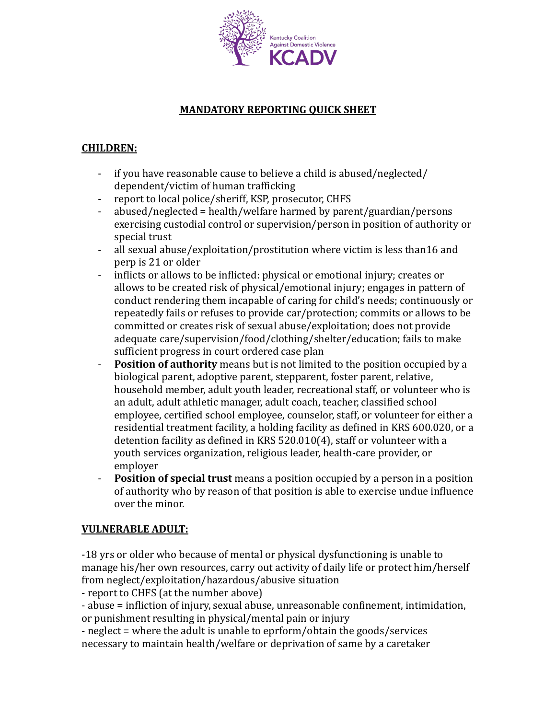

# **MANDATORY REPORTING QUICK SHEET**

# **CHILDREN:**

- if you have reasonable cause to believe a child is abused/neglected/ dependent/victim of human trafficking
- report to local police/sheriff, KSP, prosecutor, CHFS
- $abused/neglected = health/welfare harmed by parent/guardian/persons$ exercising custodial control or supervision/person in position of authority or special trust
- all sexual abuse/exploitation/prostitution where victim is less than16 and perp is 21 or older
- inflicts or allows to be inflicted: physical or emotional injury; creates or allows to be created risk of physical/emotional injury; engages in pattern of conduct rendering them incapable of caring for child's needs; continuously or repeatedly fails or refuses to provide car/protection; commits or allows to be committed or creates risk of sexual abuse/exploitation; does not provide adequate care/supervision/food/clothing/shelter/education; fails to make sufficient progress in court ordered case plan
- **Position of authority** means but is not limited to the position occupied by a biological parent, adoptive parent, stepparent, foster parent, relative, household member, adult youth leader, recreational staff, or volunteer who is an adult, adult athletic manager, adult coach, teacher, classified school employee, certified school employee, counselor, staff, or volunteer for either a residential treatment facility, a holding facility as defined in KRS 600.020, or a detention facility as defined in KRS  $520.010(4)$ , staff or volunteer with a youth services organization, religious leader, health-care provider, or employer
- **- Position of special trust** means a position occupied by a person in a position of authority who by reason of that position is able to exercise undue influence over the minor.

### **VULNERABLE ADULT:**

-18 yrs or older who because of mental or physical dysfunctioning is unable to manage his/her own resources, carry out activity of daily life or protect him/herself from neglect/exploitation/hazardous/abusive situation

- report to CHFS (at the number above)

- abuse = infliction of injury, sexual abuse, unreasonable confinement, intimidation, or punishment resulting in physical/mental pain or injury

- neglect = where the adult is unable to eprform/obtain the goods/services necessary to maintain health/welfare or deprivation of same by a caretaker